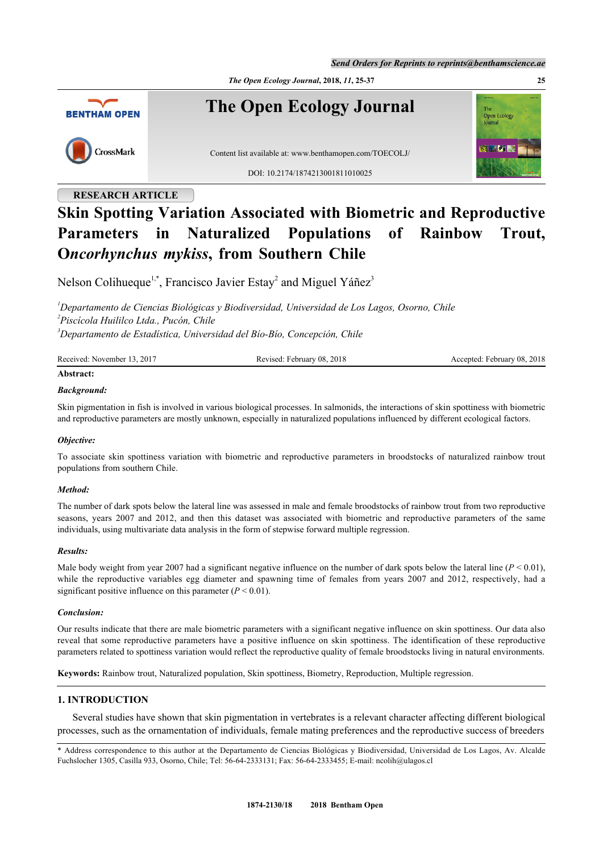*Send Orders for Reprints to reprints@benthamscience.ae*

*The Open Ecology Journal***, 2018,** *11***, 25-37 25**



# **RESEARCH ARTICLE Skin Spotting Variation Associated with Biometric and Reproductive Parameters in Naturalized Populations of Rainbow Trout, O***ncorhynchus mykiss***, from Southern Chile**

Nelson Colihueque<sup>[1](#page-0-0),[\\*](#page-0-1)</sup>, Francisco Javier Estay<sup>[2](#page-0-2)</sup> and Miguel Yáñez<sup>[3](#page-0-3)</sup>

<span id="page-0-2"></span><span id="page-0-0"></span>*<sup>1</sup>Departamento de Ciencias Biológicas y Biodiversidad, Universidad de Los Lagos, Osorno, Chile 2 Piscícola Huililco Ltda., Pucón, Chile <sup>3</sup>Departamento de Estadística, Universidad del Bío-Bío, Concepción, Chile*

<span id="page-0-3"></span>

| Received: November 13, 2017 | Revised: February 08, 2018 | Accepted: February 08, 2018 |
|-----------------------------|----------------------------|-----------------------------|
| Abstract:                   |                            |                             |

#### *Background:*

Skin pigmentation in fish is involved in various biological processes. In salmonids, the interactions of skin spottiness with biometric and reproductive parameters are mostly unknown, especially in naturalized populations influenced by different ecological factors.

#### *Objective:*

To associate skin spottiness variation with biometric and reproductive parameters in broodstocks of naturalized rainbow trout populations from southern Chile.

#### *Method:*

The number of dark spots below the lateral line was assessed in male and female broodstocks of rainbow trout from two reproductive seasons, years 2007 and 2012, and then this dataset was associated with biometric and reproductive parameters of the same individuals, using multivariate data analysis in the form of stepwise forward multiple regression.

#### *Results:*

Male body weight from year 2007 had a significant negative influence on the number of dark spots below the lateral line  $(P < 0.01)$ , while the reproductive variables egg diameter and spawning time of females from years 2007 and 2012, respectively, had a significant positive influence on this parameter  $(P < 0.01)$ .

#### *Conclusion:*

Our results indicate that there are male biometric parameters with a significant negative influence on skin spottiness. Our data also reveal that some reproductive parameters have a positive influence on skin spottiness. The identification of these reproductive parameters related to spottiness variation would reflect the reproductive quality of female broodstocks living in natural environments.

**Keywords:** Rainbow trout, Naturalized population, Skin spottiness, Biometry, Reproduction, Multiple regression.

### **1. INTRODUCTION**

Several studies have shown that skin pigmentation in vertebrates is a relevant character affecting different biological processes, such as the ornamentation of individuals, female mating preferences and the reproductive success of breeders

<span id="page-0-1"></span><sup>\*</sup> Address correspondence to this author at the Departamento de Ciencias Biológicas y Biodiversidad, Universidad de Los Lagos, Av. Alcalde Fuchslocher 1305, Casilla 933, Osorno, Chile; Tel: 56-64-2333131; Fax: 56-64-2333455; E-mail: [ncolih@ulagos.cl](mailto:ncolih@ulagos.cl)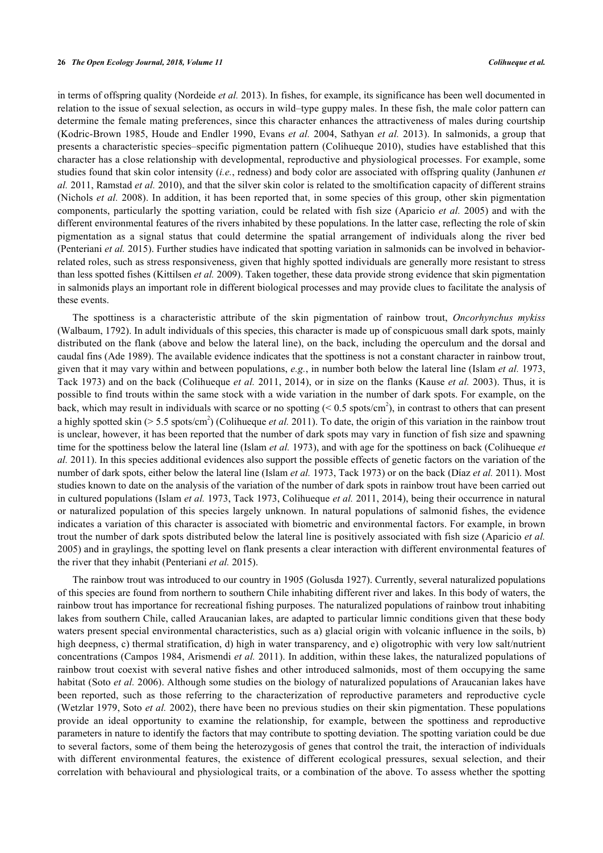in terms of offspring quality ([Nordeide](#page-11-0) *[et al.](#page-11-0)* [2013](#page-11-0)). In fishes, for example, its significance has been well documented in relation to the issue of sexual selection, as occurs in wild–type guppy males. In these fish, the male color pattern can determine the female mating preferences, since this character enhances the attractiveness of males during courtship [\(Kodric-Brown 1985,](#page-11-1) [Houde and Endler 1990](#page-10-0), [Evans](#page-10-1) *[et al.](#page-10-1)* [2004](#page-10-1), Sathyan *et al.* 2013). In salmonids, a group that presents a characteristic species–specific pigmentation pattern ([Colihueque 2010\)](#page-10-2), studies have established that this character has a close relationship with developmental, reproductive and physiological processes. For example, some studies found that skin color intensity (*i.e.*, redness) and body color are associated with offspring quality (Janhunen *et al.* 2011, [Ramstad](#page-11-2) *[et al.](#page-11-2)* [2010](#page-11-2)), and that the silver skin color is related to the smoltification capacity of different strains [\(Nichols](#page-11-3) *[et al.](#page-11-3)* [2008\)](#page-11-3). In addition, it has been reported that, in some species of this group, other skin pigmentation components, particularly the spotting variation, could be related with fish size ([Aparicio](#page-9-0) *[et al.](#page-9-0)* [2005\)](#page-9-0) and with the different environmental features of the rivers inhabited by these populations. In the latter case, reflecting the role of skin pigmentation as a signal status that could determine the spatial arrangement of individuals along the river bed [\(Penteriani](#page-11-4) *[et al.](#page-11-4)* [2015](#page-11-4)). Further studies have indicated that spotting variation in salmonids can be involved in behaviorrelated roles, such as stress responsiveness, given that highly spotted individuals are generally more resistant to stress than less spotted fishes ([Kittilsen](#page-10-3) *[et al.](#page-10-3)* [2009](#page-10-3)). Taken together, these data provide strong evidence that skin pigmentation in salmonids plays an important role in different biological processes and may provide clues to facilitate the analysis of these events.

The spottiness is a characteristic attribute of the skin pigmentation of rainbow trout, *Oncorhynchus mykiss* (Walbaum, 1792). In adult individuals of this species, this character is made up of conspicuous small dark spots, mainly distributed on the flank (above and below the lateral line), on the back, including the operculum and the dorsal and caudal fins ([Ade 1989](#page-9-1)). The available evidence indicates that the spottiness is not a constant character in rainbow trout, given that it may vary within and between populations, *e.g.*, in number both below the lateral line [\(Islam](#page-10-4) *[et al.](#page-10-4)* [1973](#page-10-4), [Tack 1973\)](#page-11-5) and on the back [\(Colihueque](#page-10-5) *[et al.](#page-10-5)* [2011](#page-10-5), 2014), or in size on the flanks ([Kause](#page-10-6) *[et al.](#page-10-6)* [2003](#page-10-6)). Thus, it is possible to find trouts within the same stock with a wide variation in the number of dark spots. For example, on the back, which may result in individuals with scarce or no spotting  $(< 0.5$  spots/cm<sup>2</sup>), in contrast to others that can present a highly spotted skin ( $> 5.5$  spots/cm<sup>2</sup>) ([Colihueque](#page-10-5) *[et al.](#page-10-5)* [2011](#page-10-5)). To date, the origin of this variation in the rainbow trout is unclear, however, it has been reported that the number of dark spots may vary in function of fish size and spawning time for the spottiness below the lateral line ([Islam](#page-10-4) *[et al.](#page-10-4)* [1973](#page-10-4)), and with age for the spottiness on back [\(Colihueque](#page-10-5) *[et](#page-10-5) [al.](#page-10-5)* [2011\)](#page-10-5). In this species additional evidences also support the possible effects of genetic factors on the variation of the number of dark spots, either below the lateral line ([Islam](#page-10-4) *[et al.](#page-10-4)* [1973](#page-10-4), [Tack 1973\)](#page-11-5) or on the back ([Díaz](#page-10-7) *[et al.](#page-10-7)* [2011\)](#page-10-7). Most studies known to date on the analysis of the variation of the number of dark spots in rainbow trout have been carried out in cultured populations ([Islam](#page-10-4) *[et al.](#page-10-4)* [1973](#page-10-4), [Tack 1973,](#page-11-5) [Colihueque](#page-10-5) *[et al.](#page-10-5)* [2011,](#page-10-5) 2014), being their occurrence in natural or naturalized population of this species largely unknown. In natural populations of salmonid fishes, the evidence indicates a variation of this character is associated with biometric and environmental factors. For example, in brown trout the number of dark spots distributed below the lateral line is positively associated with fish size [\(Aparicio](#page-9-0) *[et al.](#page-9-0)* [2005\)](#page-9-0) and in graylings, the spotting level on flank presents a clear interaction with different environmental features of the river that they inhabit ([Penteriani](#page-11-4) *[et al.](#page-11-4)* [2015](#page-11-4)).

The rainbow trout was introduced to our country in 1905 ([Golusda 1927\)](#page-10-8). Currently, several naturalized populations of this species are found from northern to southern Chile inhabiting different river and lakes. In this body of waters, the rainbow trout has importance for recreational fishing purposes. The naturalized populations of rainbow trout inhabiting lakes from southern Chile, called Araucanian lakes, are adapted to particular limnic conditions given that these body waters present special environmental characteristics, such as a) glacial origin with volcanic influence in the soils, b) high deepness, c) thermal stratification, d) high in water transparency, and e) oligotrophic with very low salt/nutrient concentrations ([Campos 1984,](#page-10-9) [Arismendi](#page-9-2) *[et al.](#page-9-2)* [2011\)](#page-9-2). In addition, within these lakes, the naturalized populations of rainbow trout coexist with several native fishes and other introduced salmonids, most of them occupying the same habitat ([Soto](#page-11-6) *[et al.](#page-11-6)* [2006](#page-11-6)). Although some studies on the biology of naturalized populations of Araucanian lakes have been reported, such as those referring to the characterization of reproductive parameters and reproductive cycle [\(Wetzlar 1979,](#page-12-0) Soto *et al.* 2002), there have been no previous studies on their skin pigmentation. These populations provide an ideal opportunity to examine the relationship, for example, between the spottiness and reproductive parameters in nature to identify the factors that may contribute to spotting deviation. The spotting variation could be due to several factors, some of them being the heterozygosis of genes that control the trait, the interaction of individuals with different environmental features, the existence of different ecological pressures, sexual selection, and their correlation with behavioural and physiological traits, or a combination of the above. To assess whether the spotting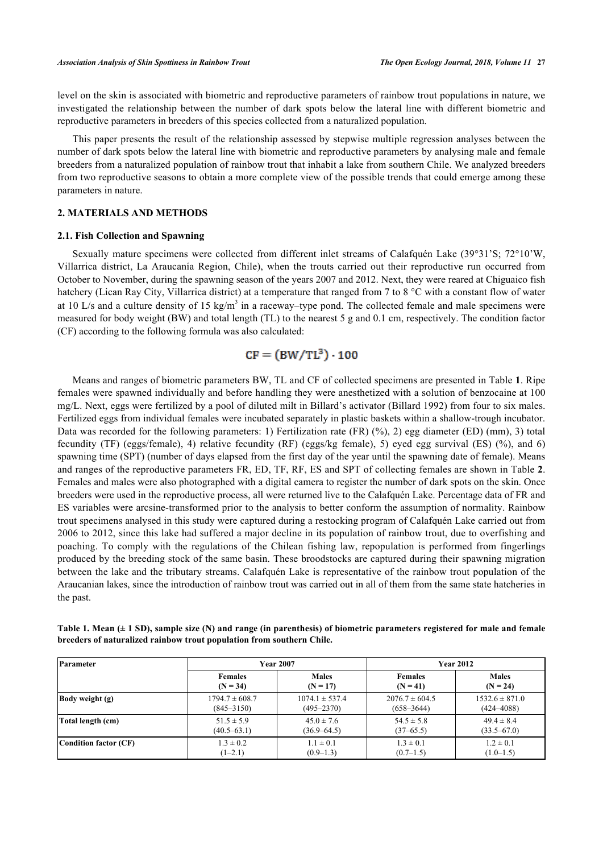level on the skin is associated with biometric and reproductive parameters of rainbow trout populations in nature, we investigated the relationship between the number of dark spots below the lateral line with different biometric and reproductive parameters in breeders of this species collected from a naturalized population.

This paper presents the result of the relationship assessed by stepwise multiple regression analyses between the number of dark spots below the lateral line with biometric and reproductive parameters by analysing male and female breeders from a naturalized population of rainbow trout that inhabit a lake from southern Chile. We analyzed breeders from two reproductive seasons to obtain a more complete view of the possible trends that could emerge among these parameters in nature.

## **2. MATERIALS AND METHODS**

#### **2.1. Fish Collection and Spawning**

Sexually mature specimens were collected from different inlet streams of Calafquén Lake (39°31'S; 72°10'W, Villarrica district, La Araucanía Region, Chile), when the trouts carried out their reproductive run occurred from October to November, during the spawning season of the years 2007 and 2012. Next, they were reared at Chiguaico fish hatchery (Lican Ray City, Villarrica district) at a temperature that ranged from 7 to 8 °C with a constant flow of water at 10 L/s and a culture density of 15 kg/m<sup>3</sup> in a raceway–type pond. The collected female and male specimens were measured for body weight (BW) and total length (TL) to the nearest 5 g and 0.1 cm, respectively. The condition factor (CF) according to the following formula was also calculated:

# $CF = (BW/TL^{3}) \cdot 100$

Means and ranges of biometric parameters BW, TL and CF of collected specimens are presented in Table **[1](#page-2-0)**. Ripe females were spawned individually and before handling they were anesthetized with a solution of benzocaine at 100 mg/L. Next, eggs were fertilized by a pool of diluted milt in Billard's activator ([Billard 1992](#page-9-3)) from four to six males. Fertilized eggs from individual females were incubated separately in plastic baskets within a shallow-trough incubator. Data was recorded for the following parameters: 1) Fertilization rate (FR) (%), 2) egg diameter (ED) (mm), 3) total fecundity (TF) (eggs/female), 4) relative fecundity (RF) (eggs/kg female), 5) eyed egg survival (ES) (%), and 6) spawning time (SPT) (number of days elapsed from the first day of the year until the spawning date of female). Means and ranges of the reproductive parameters FR, ED, TF, RF, ES and SPT of collecting females are shown in Table **[2](#page-3-0)**. Females and males were also photographed with a digital camera to register the number of dark spots on the skin. Once breeders were used in the reproductive process, all were returned live to the Calafquén Lake. Percentage data of FR and ES variables were arcsine-transformed prior to the analysis to better conform the assumption of normality. Rainbow trout specimens analysed in this study were captured during a restocking program of Calafquén Lake carried out from 2006 to 2012, since this lake had suffered a major decline in its population of rainbow trout, due to overfishing and poaching. To comply with the regulations of the Chilean fishing law, repopulation is performed from fingerlings produced by the breeding stock of the same basin. These broodstocks are captured during their spawning migration between the lake and the tributary streams. Calafquén Lake is representative of the rainbow trout population of the Araucanian lakes, since the introduction of rainbow trout was carried out in all of them from the same state hatcheries in the past.

| Parameter              |                              | <b>Year 2007</b>           | <b>Year 2012</b>             |                            |  |
|------------------------|------------------------------|----------------------------|------------------------------|----------------------------|--|
|                        | <b>Females</b><br>$(N = 34)$ | <b>Males</b><br>$(N = 17)$ | <b>Females</b><br>$(N = 41)$ | <b>Males</b><br>$(N = 24)$ |  |
| <b>Body weight (g)</b> | $1794.7 \pm 608.7$           | $1074.1 \pm 537.4$         | $2076.7 \pm 604.5$           | $1532.6 \pm 871.0$         |  |
|                        | $(845 - 3150)$               | $(495 - 2370)$             | $(658 - 3644)$               | $(424 - 4088)$             |  |
| Total length (cm)      | $51.5 \pm 5.9$               | $45.0 \pm 7.6$             | $54.5 \pm 5.8$               | $49.4 \pm 8.4$             |  |
|                        | $(40.5 - 63.1)$              | $(36.9 - 64.5)$            | $(37-65.5)$                  | $(33.5 - 67.0)$            |  |
| Condition factor (CF)  | $1.3 \pm 0.2$                | $1.1 \pm 0.1$              | $1.3 \pm 0.1$                | $1.2 \pm 0.1$              |  |
|                        | $(1-2.1)$                    | $(0.9-1.3)$                | $(0.7-1.5)$                  | $(1.0-1.5)$                |  |

<span id="page-2-0"></span>**Table 1. Mean (± 1 SD), sample size (N) and range (in parenthesis) of biometric parameters registered for male and female breeders of naturalized rainbow trout population from southern Chile.**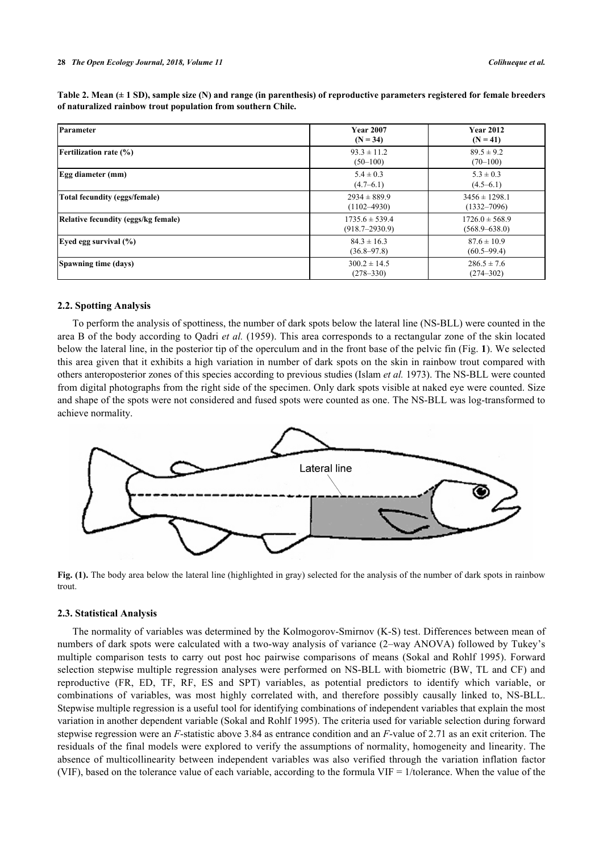| Parameter                           | <b>Year 2007</b><br>$(N = 34)$           | <b>Year 2012</b><br>$(N = 41)$          |  |
|-------------------------------------|------------------------------------------|-----------------------------------------|--|
| <b>Fertilization rate (%)</b>       | $93.3 \pm 11.2$<br>$(50-100)$            | $89.5 \pm 9.2$<br>$(70-100)$            |  |
| Egg diameter (mm)                   | $5.4 \pm 0.3$<br>$(4.7 - 6.1)$           | $5.3 \pm 0.3$<br>$(4.5-6.1)$            |  |
| Total fecundity (eggs/female)       | $2934 \pm 889.9$<br>$(1102 - 4930)$      | $3456 \pm 1298.1$<br>$(1332 - 7096)$    |  |
| Relative fecundity (eggs/kg female) | $1735.6 \pm 539.4$<br>$(918.7 - 2930.9)$ | $1726.0 \pm 568.9$<br>$(568.9 - 638.0)$ |  |
| Eyed egg survival $(\% )$           | $84.3 \pm 16.3$<br>$(36.8 - 97.8)$       | $87.6 \pm 10.9$<br>$(60.5 - 99.4)$      |  |
| Spawning time (days)                | $300.2 \pm 14.5$<br>$(278 - 330)$        | $286.5 \pm 7.6$<br>$(274 - 302)$        |  |

<span id="page-3-0"></span>**Table 2. Mean (± 1 SD), sample size (N) and range (in parenthesis) of reproductive parameters registered for female breeders of naturalized rainbow trout population from southern Chile.**

#### **2.2. Spotting Analysis**

To perform the analysis of spottiness, the number of dark spots below the lateral line (NS-BLL) were counted in the area B of the body according to Qadri *et al.* (1959). This area corresponds to a rectangular zone of the skin located below the lateral line, in the posterior tip of the operculum and in the front base of the pelvic fin (Fig. **[1](#page-3-1)**). We selected this area given that it exhibits a high variation in number of dark spots on the skin in rainbow trout compared with others anteroposterior zones of this species according to previous studies ([Islam](#page-10-4) *[et al.](#page-10-4)* [1973](#page-10-4)). The NS-BLL were counted from digital photographs from the right side of the specimen. Only dark spots visible at naked eye were counted. Size and shape of the spots were not considered and fused spots were counted as one. The NS-BLL was log-transformed to achieve normality.

<span id="page-3-1"></span>

**Fig. (1).** The body area below the lateral line (highlighted in gray) selected for the analysis of the number of dark spots in rainbow trout.

#### **2.3. Statistical Analysis**

The normality of variables was determined by the Kolmogorov-Smirnov (K-S) test. Differences between mean of numbers of dark spots were calculated with a two-way analysis of variance (2–way ANOVA) followed by Tukey's multiple comparison tests to carry out post hoc pairwise comparisons of means ([Sokal and Rohlf 1995](#page-11-7)). Forward selection stepwise multiple regression analyses were performed on NS-BLL with biometric (BW, TL and CF) and reproductive (FR, ED, TF, RF, ES and SPT) variables, as potential predictors to identify which variable, or combinations of variables, was most highly correlated with, and therefore possibly causally linked to, NS-BLL. Stepwise multiple regression is a useful tool for identifying combinations of independent variables that explain the most variation in another dependent variable [\(Sokal and Rohlf 1995](#page-11-7)). The criteria used for variable selection during forward stepwise regression were an *F*-statistic above 3.84 as entrance condition and an *F*-value of 2.71 as an exit criterion. The residuals of the final models were explored to verify the assumptions of normality, homogeneity and linearity. The absence of multicollinearity between independent variables was also verified through the variation inflation factor (VIF), based on the tolerance value of each variable, according to the formula VIF = 1/tolerance. When the value of the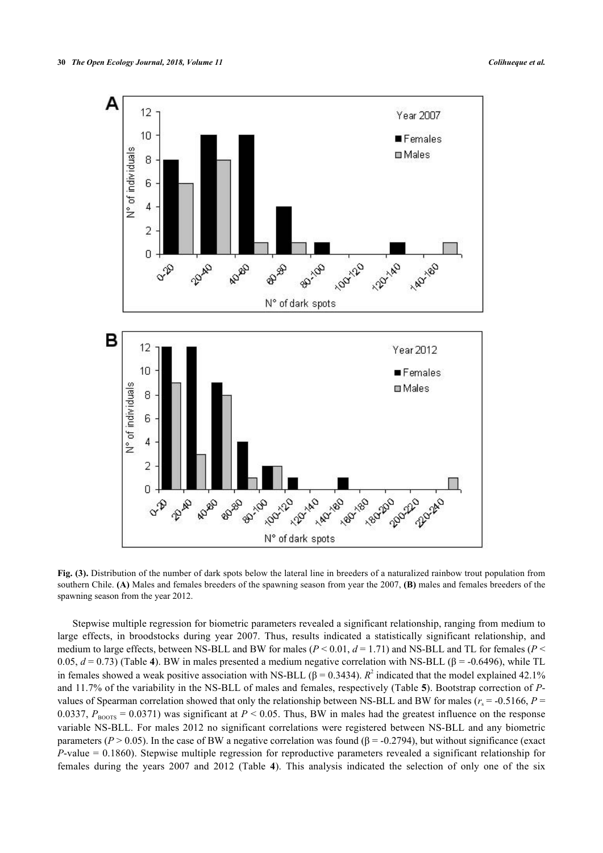

**Fig. (3).** Distribution of the number of dark spots below the lateral line in breeders of a naturalized rainbow trout population from southern Chile. **(A)** Males and females breeders of the spawning season from year the 2007, **(B)** males and females breeders of the spawning season from the year 2012.

Stepwise multiple regression for biometric parameters revealed a significant relationship, ranging from medium to large effects, in broodstocks during year 2007. Thus, results indicated a statistically significant relationship, and medium to large effects, between NS-BLL and BW for males ( $P < 0.01$ ,  $d = 1.71$ ) and NS-BLL and TL for females ( $P <$ 0.05, *d* = 0.73) (Table **[4](#page-6-0)**). BW in males presented a medium negative correlation with NS-BLL (β = -0.6496), while TL in females showed a weak positive association with NS-BLL ( $\beta$  = 0.3434). *R*<sup>2</sup> indicated that the model explained 42.1% and 11.7% of the variability in the NS-BLL of males and females, respectively (Table **[5](#page-6-1)**). Bootstrap correction of *P*values of Spearman correlation showed that only the relationship between NS-BLL and BW for males ( $r_s$  = -0.5166,  $P$  = 0.0337,  $P_{\text{BOOTS}} = 0.0371$ ) was significant at  $P < 0.05$ . Thus, BW in males had the greatest influence on the response variable NS-BLL. For males 2012 no significant correlations were registered between NS-BLL and any biometric parameters ( $P > 0.05$ ). In the case of BW a negative correlation was found ( $\beta = -0.2794$ ), but without significance (exact *P*-value = 0.1860). Stepwise multiple regression for reproductive parameters revealed a significant relationship for females during the years 2007 and 2012 (Table**4**). This analysis indicated the selection of only one of the six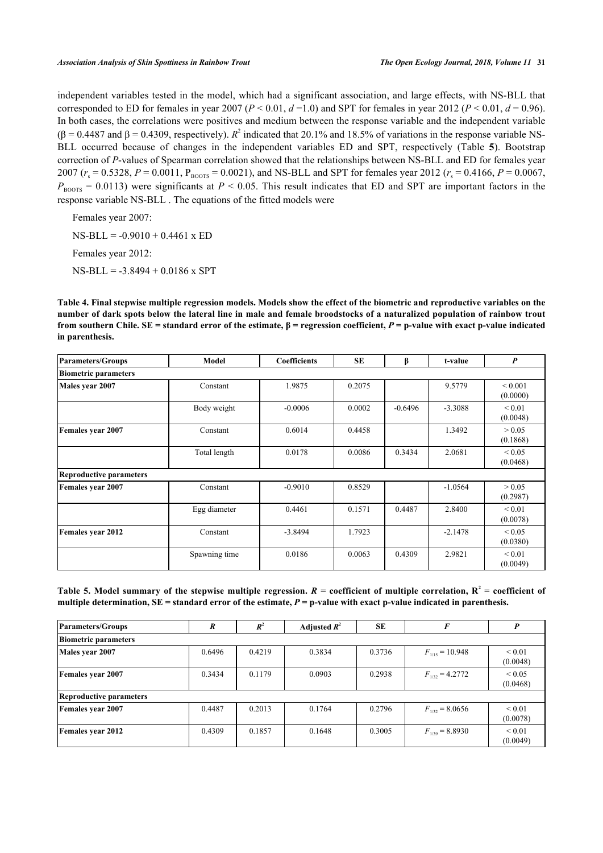independent variables tested in the model, which had a significant association, and large effects, with NS-BLL that corresponded to ED for females in year 2007 ( $P < 0.01$ ,  $d = 1.0$ ) and SPT for females in year 2012 ( $P < 0.01$ ,  $d = 0.96$ ). In both cases, the correlations were positives and medium between the response variable and the independent variable  $(\beta = 0.4487 \text{ and } \beta = 0.4309,$  respectively).  $R^2$  indicated that 20.1% and 18.5% of variations in the response variable NS-BLL occurred because of changes in the independent variables ED and SPT, respectively (Table**5**). Bootstrap correction of *P*-values of Spearman correlation showed that the relationships between NS-BLL and ED for females year  $2007$  ( $r_s = 0.5328$ ,  $P = 0.0011$ ,  $P_{\text{BoOTS}} = 0.0021$ ), and NS-BLL and SPT for females year 2012 ( $r_s = 0.4166$ ,  $P = 0.0067$ ,  $P_{\text{BOSTS}} = 0.0113$ ) were significants at  $P \le 0.05$ . This result indicates that ED and SPT are important factors in the response variable NS-BLL . The equations of the fitted models were

Females year 2007:  $NS-BLL = -0.9010 + 0.4461$  x ED Females year 2012: NS-BLL = -3.8494 + 0.0186 x SPT

<span id="page-6-0"></span>**Table 4. Final stepwise multiple regression models. Models show the effect of the biometric and reproductive variables on the number of dark spots below the lateral line in male and female broodstocks of a naturalized population of rainbow trout from southern Chile. SE = standard error of the estimate, β = regression coefficient,** *P* **= p-value with exact p-value indicated in parenthesis.**

| Parameters/Groups              | Model         | <b>Coefficients</b> | SE     | ß         | t-value   | $\boldsymbol{P}$             |
|--------------------------------|---------------|---------------------|--------|-----------|-----------|------------------------------|
| <b>Biometric parameters</b>    |               |                     |        |           |           |                              |
| Males year 2007                | Constant      | 1.9875              | 0.2075 |           | 9.5779    | ${}_{0.001}$<br>(0.0000)     |
|                                | Body weight   | $-0.0006$           | 0.0002 | $-0.6496$ | $-3.3088$ | ${}_{0.01}$<br>(0.0048)      |
| <b>Females year 2007</b>       | Constant      | 0.6014              | 0.4458 |           | 1.3492    | > 0.05<br>(0.1868)           |
|                                | Total length  | 0.0178              | 0.0086 | 0.3434    | 2.0681    | ${}_{0.05}$<br>(0.0468)      |
| <b>Reproductive parameters</b> |               |                     |        |           |           |                              |
| <b>Females year 2007</b>       | Constant      | $-0.9010$           | 0.8529 |           | $-1.0564$ | > 0.05<br>(0.2987)           |
|                                | Egg diameter  | 0.4461              | 0.1571 | 0.4487    | 2.8400    | ${}_{0.01}$<br>(0.0078)      |
| <b>Females year 2012</b>       | Constant      | $-3.8494$           | 1.7923 |           | $-2.1478$ | ${}_{\leq 0.05}$<br>(0.0380) |
|                                | Spawning time | 0.0186              | 0.0063 | 0.4309    | 2.9821    | ${}_{0.01}$<br>(0.0049)      |

<span id="page-6-1"></span>

| Table 5. Model summary of the stepwise multiple regression. $R =$ coefficient of multiple correlation, $R^2 =$ coefficient of |  |
|-------------------------------------------------------------------------------------------------------------------------------|--|
| multiple determination, $SE$ = standard error of the estimate, $P$ = p-value with exact p-value indicated in parenthesis.     |  |

| Parameters/Groups           | R      | $R^2$  | Adjusted $R^2$ | SE     | F                   | P                       |
|-----------------------------|--------|--------|----------------|--------|---------------------|-------------------------|
| <b>Biometric parameters</b> |        |        |                |        |                     |                         |
| Males year 2007             | 0.6496 | 0.4219 | 0.3834         | 0.3736 | $F_{1/15}$ = 10.948 | ${}_{0.01}$<br>(0.0048) |
| <b>Females year 2007</b>    | 0.3434 | 0.1179 | 0.0903         | 0.2938 | $F_{1/32} = 4.2772$ | ${}_{0.05}$<br>(0.0468) |
| Reproductive parameters     |        |        |                |        |                     |                         |
| <b>Females year 2007</b>    | 0.4487 | 0.2013 | 0.1764         | 0.2796 | $F_{1/32}$ = 8.0656 | ${}_{0.01}$<br>(0.0078) |
| <b>Females year 2012</b>    | 0.4309 | 0.1857 | 0.1648         | 0.3005 | $F_{1/39}$ = 8.8930 | ${}_{0.01}$<br>(0.0049) |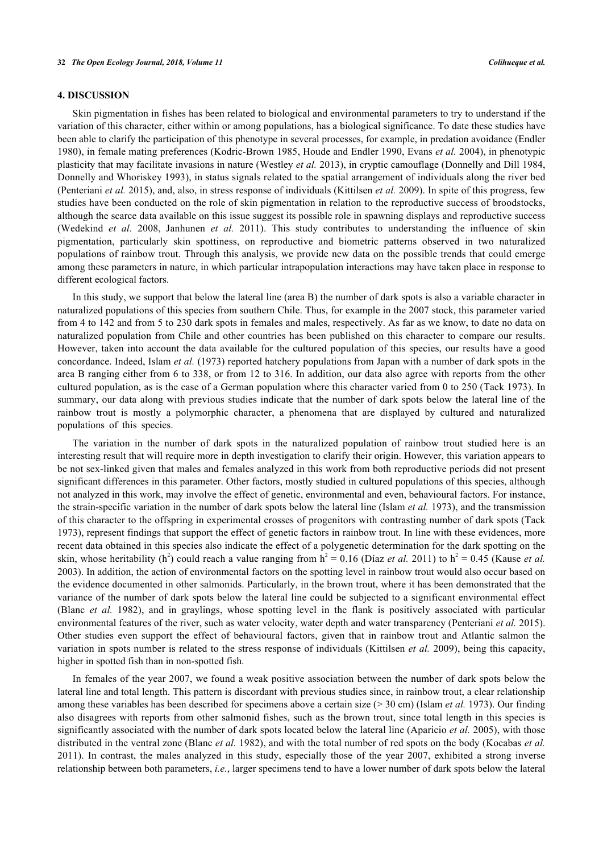### **4. DISCUSSION**

Skin pigmentation in fishes has been related to biological and environmental parameters to try to understand if the variation of this character, either within or among populations, has a biological significance. To date these studies have been able to clarify the participation of this phenotype in several processes, for example, in predation avoidance ([Endler](#page-10-10) [1980](#page-10-10)), in female mating preferences [\(Kodric-Brown 1985,](#page-11-1) [Houde and Endler 1990,](#page-10-0) [Evans](#page-10-1) *[et al.](#page-10-1)* [2004\)](#page-10-1), in phenotypic plasticity that may facilitate invasions in nature [\(Westley](#page-12-1) *[et al.](#page-12-1)* [2013\)](#page-12-1), in cryptic camouflage [\(Donnelly and Dill 1984](#page-10-11), [Donnelly and Whoriskey 1993](#page-10-12)), in status signals related to the spatial arrangement of individuals along the river bed [\(Penteriani](#page-11-4) *[et al.](#page-11-4)* [2015](#page-11-4)), and, also, in stress response of individuals [\(Kittilsen](#page-10-3) *[et al.](#page-10-3)* [2009](#page-10-3)). In spite of this progress, few studies have been conducted on the role of skin pigmentation in relation to the reproductive success of broodstocks, although the scarce data available on this issue suggest its possible role in spawning displays and reproductive success [\(Wedekind](#page-11-8) *[et al.](#page-11-8)* [2008](#page-11-8), Janhunen *et al.* 2011). This study contributes to understanding the influence of skin pigmentation, particularly skin spottiness, on reproductive and biometric patterns observed in two naturalized populations of rainbow trout. Through this analysis, we provide new data on the possible trends that could emerge among these parameters in nature, in which particular intrapopulation interactions may have taken place in response to different ecological factors.

In this study, we support that below the lateral line (area B) the number of dark spots is also a variable character in naturalized populations of this species from southern Chile. Thus, for example in the 2007 stock, this parameter varied from 4 to 142 and from 5 to 230 dark spots in females and males, respectively. As far as we know, to date no data on naturalized population from Chile and other countries has been published on this character to compare our results. However, taken into account the data available for the cultured population of this species, our results have a good concordance. Indeed, [Islam](#page-10-4) *[et al.](#page-10-4)* [\(1973\)](#page-10-4) reported hatchery populations from Japan with a number of dark spots in the area B ranging either from 6 to 338, or from 12 to 316. In addition, our data also agree with reports from the other cultured population, as is the case of a German population where this character varied from 0 to 250 ([Tack 1973](#page-11-5)). In summary, our data along with previous studies indicate that the number of dark spots below the lateral line of the rainbow trout is mostly a polymorphic character, a phenomena that are displayed by cultured and naturalized populations of this species.

The variation in the number of dark spots in the naturalized population of rainbow trout studied here is an interesting result that will require more in depth investigation to clarify their origin. However, this variation appears to be not sex-linked given that males and females analyzed in this work from both reproductive periods did not present significant differences in this parameter. Other factors, mostly studied in cultured populations of this species, although not analyzed in this work, may involve the effect of genetic, environmental and even, behavioural factors. For instance, the strain-specific variation in the number of dark spots below the lateral line ([Islam](#page-10-4) *[et al.](#page-10-4)* [1973](#page-10-4)), and the transmission of this character to the offspring in experimental crosses of progenitors with contrasting number of dark spots [\(Tack](#page-11-5) [1973\)](#page-11-5), represent findings that support the effect of genetic factors in rainbow trout. In line with these evidences, more recent data obtained in this species also indicate the effect of a polygenetic determination for the dark spotting on the skin, whose heritability (h<sup>2</sup>) could reach a value ranging from  $h^2 = 0.16$  [\(Díaz](#page-10-7) *[et al.](#page-10-6)* [2011](#page-10-7)) to  $h^2 = 0.45$  ([Kause](#page-10-6) *et al.* [2003\)](#page-10-6). In addition, the action of environmental factors on the spotting level in rainbow trout would also occur based on the evidence documented in other salmonids. Particularly, in the brown trout, where it has been demonstrated that the variance of the number of dark spots below the lateral line could be subjected to a significant environmental effect [\(Blanc](#page-10-13) *[et al.](#page-10-13)* [1982](#page-10-13)), and in graylings, whose spotting level in the flank is positively associated with particular environmental features of the river, such as water velocity, water depth and water transparency [\(Penteriani](#page-11-4) *[et al.](#page-11-4)* [2015\)](#page-11-4). Other studies even support the effect of behavioural factors, given that in rainbow trout and Atlantic salmon the variation in spots number is related to the stress response of individuals ([Kittilsen](#page-10-3) *[et al.](#page-10-3)* [2009](#page-10-3)), being this capacity, higher in spotted fish than in non-spotted fish.

In females of the year 2007, we found a weak positive association between the number of dark spots below the lateral line and total length. This pattern is discordant with previous studies since, in rainbow trout, a clear relationship among these variables has been described for specimens above a certain size (> 30 cm) ([Islam](#page-10-4) *[et al.](#page-10-4)* [1973\)](#page-10-4). Our finding also disagrees with reports from other salmonid fishes, such as the brown trout, since total length in this species is significantly associated with the number of dark spots located below the lateral line [\(Aparicio](#page-9-0) *[et al.](#page-9-0)* [2005\)](#page-9-0), with those distributed in the ventral zone ([Blanc](#page-10-13) *[et al.](#page-10-13)* [1982\)](#page-10-13), and with the total number of red spots on the body ([Kocabas](#page-11-9) *[et al.](#page-11-9)* [2011](#page-11-9)). In contrast, the males analyzed in this study, especially those of the year 2007, exhibited a strong inverse relationship between both parameters, *i.e.*, larger specimens tend to have a lower number of dark spots below the lateral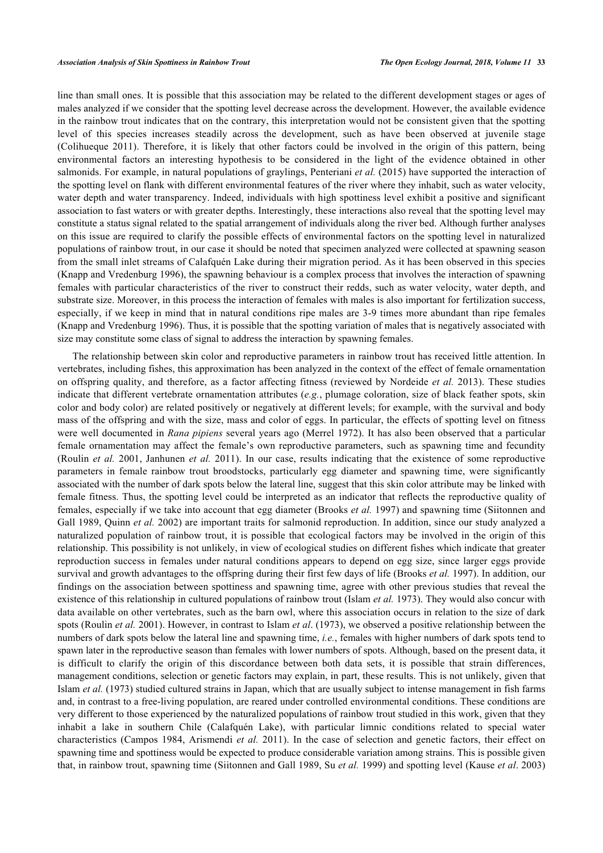line than small ones. It is possible that this association may be related to the different development stages or ages of males analyzed if we consider that the spotting level decrease across the development. However, the available evidence in the rainbow trout indicates that on the contrary, this interpretation would not be consistent given that the spotting level of this species increases steadily across the development, such as have been observed at juvenile stage (Colihueque 2011). Therefore, it is likely that other factors could be involved in the origin of this pattern, being environmental factors an interesting hypothesis to be considered in the light of the evidence obtained in other salmonids. For example, in natural populations of graylings, [Penteriani](#page-11-4) *[et al.](#page-11-4)* [\(2015\)](#page-11-4) have supported the interaction of the spotting level on flank with different environmental features of the river where they inhabit, such as water velocity, water depth and water transparency. Indeed, individuals with high spottiness level exhibit a positive and significant association to fast waters or with greater depths. Interestingly, these interactions also reveal that the spotting level may constitute a status signal related to the spatial arrangement of individuals along the river bed. Although further analyses on this issue are required to clarify the possible effects of environmental factors on the spotting level in naturalized populations of rainbow trout, in our case it should be noted that specimen analyzed were collected at spawning season from the small inlet streams of Calafquén Lake during their migration period. As it has been observed in this species [\(Knapp and Vredenburg 1996\)](#page-10-14), the spawning behaviour is a complex process that involves the interaction of spawning females with particular characteristics of the river to construct their redds, such as water velocity, water depth, and substrate size. Moreover, in this process the interaction of females with males is also important for fertilization success, especially, if we keep in mind that in natural conditions ripe males are 3-9 times more abundant than ripe females [\(Knapp and Vredenburg 1996\)](#page-10-14). Thus, it is possible that the spotting variation of males that is negatively associated with size may constitute some class of signal to address the interaction by spawning females.

The relationship between skin color and reproductive parameters in rainbow trout has received little attention. In vertebrates, including fishes, this approximation has been analyzed in the context of the effect of female ornamentation on offspring quality, and therefore, as a factor affecting fitness (reviewed by [Nordeide](#page-11-0) *[et al.](#page-11-0)* [2013](#page-11-0)). These studies indicate that different vertebrate ornamentation attributes (*e.g.*, plumage coloration, size of black feather spots, skin color and body color) are related positively or negatively at different levels; for example, with the survival and body mass of the offspring and with the size, mass and color of eggs. In particular, the effects of spotting level on fitness were well documented in *Rana pipiens* several years ago (Merrel 1972). It has also been observed that a particular female ornamentation may affect the female's own reproductive parameters, such as spawning time and fecundity [\(Roulin](#page-11-10) *[et al.](#page-11-10)* [2001,](#page-11-10) Janhunen *et al.* 2011). In our case, results indicating that the existence of some reproductive parameters in female rainbow trout broodstocks, particularly egg diameter and spawning time, were significantly associated with the number of dark spots below the lateral line, suggest that this skin color attribute may be linked with female fitness. Thus, the spotting level could be interpreted as an indicator that reflects the reproductive quality of females, especially if we take into account that egg diameter [\(Brooks](#page-10-15) *[et al.](#page-10-15)* [1997\)](#page-10-15) and spawning time (Siitonnen and Gall 1989, [Quinn](#page-11-11) *[et al.](#page-11-11)* [2002](#page-11-11)) are important traits for salmonid reproduction. In addition, since our study analyzed a naturalized population of rainbow trout, it is possible that ecological factors may be involved in the origin of this relationship. This possibility is not unlikely, in view of ecological studies on different fishes which indicate that greater reproduction success in females under natural conditions appears to depend on egg size, since larger eggs provide survival and growth advantages to the offspring during their first few days of life ([Brooks](#page-10-15) *[et al.](#page-10-15)* [1997](#page-10-15)). In addition, our findings on the association between spottiness and spawning time, agree with other previous studies that reveal the existence of this relationship in cultured populations of rainbow trout ([Islam](#page-10-4) *[et al.](#page-10-4)* [1973\)](#page-10-4). They would also concur with data available on other vertebrates, such as the barn owl, where this association occurs in relation to the size of dark spots ([Roulin](#page-11-10) *[et al.](#page-11-10)* [2001](#page-11-10)). However, in contrast to [Islam](#page-10-4) *[et al](#page-10-4)*[. \(1973\),](#page-10-4) we observed a positive relationship between the numbers of dark spots below the lateral line and spawning time, *i.e.*, females with higher numbers of dark spots tend to spawn later in the reproductive season than females with lower numbers of spots. Although, based on the present data, it is difficult to clarify the origin of this discordance between both data sets, it is possible that strain differences, management conditions, selection or genetic factors may explain, in part, these results. This is not unlikely, given that [Islam](#page-10-4) *[et al.](#page-10-4)* [\(1973\)](#page-10-4) studied cultured strains in Japan, which that are usually subject to intense management in fish farms and, in contrast to a free-living population, are reared under controlled environmental conditions. These conditions are very different to those experienced by the naturalized populations of rainbow trout studied in this work, given that they inhabit a lake in southern Chile (Calafquén Lake), with particular limnic conditions related to special water characteristics ([Campos 1984](#page-10-9), [Arismendi](#page-9-2) *[et al.](#page-9-2)* [2011\)](#page-9-2). In the case of selection and genetic factors, their effect on spawning time and spottiness would be expected to produce considerable variation among strains. This is possible given that, in rainbow trout, spawning time (Siitonnen and Gall 1989, [Su](#page-11-12) *[et al.](#page-11-12)* [1999\)](#page-11-12) and spotting level [\(Kause](#page-10-6) *[et al](#page-10-6)*[. 2003](#page-10-6))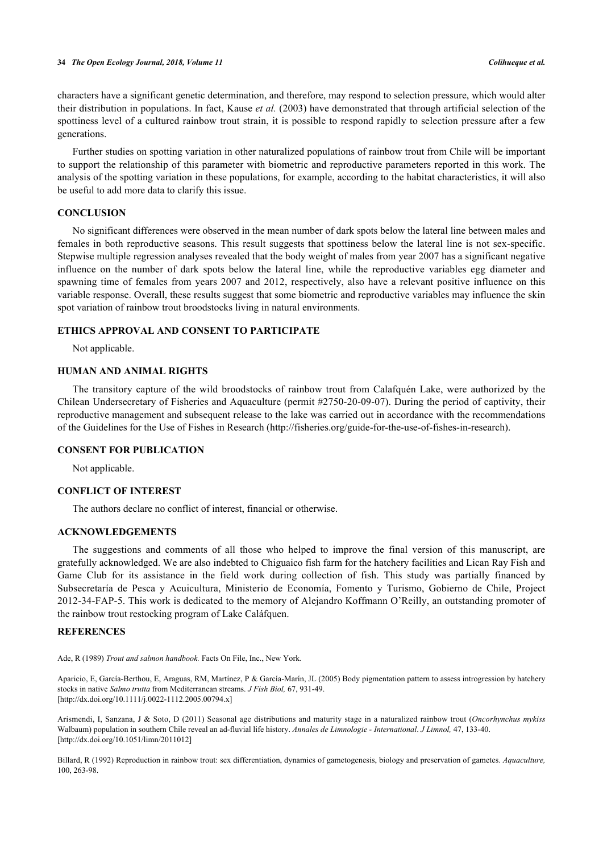characters have a significant genetic determination, and therefore, may respond to selection pressure, which would alter their distribution in populations. In fact, [Kause](#page-10-6) *[et al.](#page-10-6)* [\(2003\)](#page-10-6) have demonstrated that through artificial selection of the spottiness level of a cultured rainbow trout strain, it is possible to respond rapidly to selection pressure after a few generations.

Further studies on spotting variation in other naturalized populations of rainbow trout from Chile will be important to support the relationship of this parameter with biometric and reproductive parameters reported in this work. The analysis of the spotting variation in these populations, for example, according to the habitat characteristics, it will also be useful to add more data to clarify this issue.

#### **CONCLUSION**

No significant differences were observed in the mean number of dark spots below the lateral line between males and females in both reproductive seasons. This result suggests that spottiness below the lateral line is not sex-specific. Stepwise multiple regression analyses revealed that the body weight of males from year 2007 has a significant negative influence on the number of dark spots below the lateral line, while the reproductive variables egg diameter and spawning time of females from years 2007 and 2012, respectively, also have a relevant positive influence on this variable response. Overall, these results suggest that some biometric and reproductive variables may influence the skin spot variation of rainbow trout broodstocks living in natural environments.

#### **ETHICS APPROVAL AND CONSENT TO PARTICIPATE**

Not applicable.

# **HUMAN AND ANIMAL RIGHTS**

The transitory capture of the wild broodstocks of rainbow trout from Calafquén Lake, were authorized by the Chilean Undersecretary of Fisheries and Aquaculture (permit #2750-20-09-07). During the period of captivity, their reproductive management and subsequent release to the lake was carried out in accordance with the recommendations of the Guidelines for the Use of Fishes in Research ([http://fisheries.org/guide-for-the-use-of-fishes-in-research\)](http://fisheries.org/guide-for-the-use-of-fishes-in-research).

### **CONSENT FOR PUBLICATION**

Not applicable.

#### **CONFLICT OF INTEREST**

The authors declare no conflict of interest, financial or otherwise.

### **ACKNOWLEDGEMENTS**

The suggestions and comments of all those who helped to improve the final version of this manuscript, are gratefully acknowledged. We are also indebted to Chiguaico fish farm for the hatchery facilities and Lican Ray Fish and Game Club for its assistance in the field work during collection of fish. This study was partially financed by Subsecretaría de Pesca y Acuicultura, Ministerio de Economía, Fomento y Turismo, Gobierno de Chile, Project 2012-34-FAP-5. This work is dedicated to the memory of Alejandro Koffmann O'Reilly, an outstanding promoter of the rainbow trout restocking program of Lake Caláfquen.

#### **REFERENCES**

<span id="page-9-1"></span><span id="page-9-0"></span>Ade, R (1989) *Trout and salmon handbook.* Facts On File, Inc., New York.

Aparicio, E, García-Berthou, E, Araguas, RM, Martínez, P & García-Marín, JL (2005) Body pigmentation pattern to assess introgression by hatchery stocks in native *Salmo trutta* from Mediterranean streams. *J Fish Biol,* 67, 931-49. [\[http://dx.doi.org/10.1111/j.0022-1112.2005.00794.x\]](http://dx.doi.org/10.1111/j.0022-1112.2005.00794.x)

<span id="page-9-2"></span>Arismendi, I, Sanzana, J & Soto, D (2011) Seasonal age distributions and maturity stage in a naturalized rainbow trout (*Oncorhynchus mykiss* Walbaum) population in southern Chile reveal an ad-fluvial life history. *Annales de Limnologie - International*. *J Limnol,* 47, 133-40. [\[http://dx.doi.org/10.1051/limn/2011012\]](http://dx.doi.org/10.1051/limn/2011012)

<span id="page-9-3"></span>Billard, R (1992) Reproduction in rainbow trout: sex differentiation, dynamics of gametogenesis, biology and preservation of gametes. *Aquaculture,* 100, 263-98.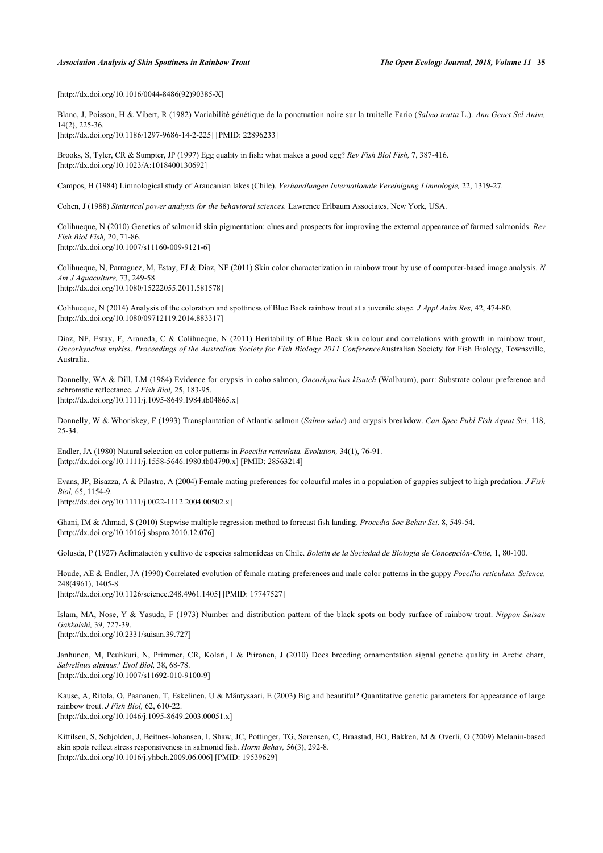#### *Association Analysis of Skin Spottiness in Rainbow Trout The Open Ecology Journal, 2018, Volume 11* **35**

<span id="page-10-13"></span>[\[http://dx.doi.org/10.1016/0044-8486\(92\)90385-X](http://dx.doi.org/10.1016/0044-8486(92)90385-X)]

Blanc, J, Poisson, H & Vibert, R (1982) Variabilité génétique de la ponctuation noire sur la truitelle Fario (*Salmo trutta* L.). *Ann Genet Sel Anim,* 14(2), 225-36.

<span id="page-10-15"></span>[\[http://dx.doi.org/10.1186/1297-9686-14-2-225](http://dx.doi.org/10.1186/1297-9686-14-2-225)] [PMID: [22896233](http://www.ncbi.nlm.nih.gov/pubmed/22896233)]

Brooks, S, Tyler, CR & Sumpter, JP (1997) Egg quality in fish: what makes a good egg? *Rev Fish Biol Fish,* 7, 387-416. [\[http://dx.doi.org/10.1023/A:1018400130692\]](http://dx.doi.org/10.1023/A:1018400130692)

<span id="page-10-9"></span>Campos, H (1984) Limnological study of Araucanian lakes (Chile). *Verhandlungen Internationale Vereinigung Limnologie,* 22, 1319-27.

<span id="page-10-2"></span>Cohen, J (1988) *Statistical power analysis for the behavioral sciences.* Lawrence Erlbaum Associates, New York, USA.

Colihueque, N (2010) Genetics of salmonid skin pigmentation: clues and prospects for improving the external appearance of farmed salmonids. *Rev Fish Biol Fish,* 20, 71-86. [\[http://dx.doi.org/10.1007/s11160-009-9121-6\]](http://dx.doi.org/10.1007/s11160-009-9121-6)

<span id="page-10-5"></span>Colihueque, N, Parraguez, M, Estay, FJ & Diaz, NF (2011) Skin color characterization in rainbow trout by use of computer-based image analysis. *N Am J Aquaculture,* 73, 249-58. [\[http://dx.doi.org/10.1080/15222055.2011.581578\]](http://dx.doi.org/10.1080/15222055.2011.581578)

Colihueque, N (2014) Analysis of the coloration and spottiness of Blue Back rainbow trout at a juvenile stage. *J Appl Anim Res,* 42, 474-80. [\[http://dx.doi.org/10.1080/09712119.2014.883317\]](http://dx.doi.org/10.1080/09712119.2014.883317)

<span id="page-10-7"></span>Diaz, NF, Estay, F, Araneda, C & Colihueque, N (2011) Heritability of Blue Back skin colour and correlations with growth in rainbow trout, *Oncorhynchus mykiss*. *Proceedings of the Australian Society for Fish Biology 2011 Conference*Australian Society for Fish Biology, Townsville, Australia.

<span id="page-10-11"></span>Donnelly, WA & Dill, LM (1984) Evidence for crypsis in coho salmon, *Oncorhynchus kisutch* (Walbaum), parr: Substrate colour preference and achromatic reflectance. *J Fish Biol,* 25, 183-95. [\[http://dx.doi.org/10.1111/j.1095-8649.1984.tb04865.x\]](http://dx.doi.org/10.1111/j.1095-8649.1984.tb04865.x)

<span id="page-10-12"></span>Donnelly, W & Whoriskey, F (1993) Transplantation of Atlantic salmon (*Salmo salar*) and crypsis breakdow. *Can Spec Publ Fish Aquat Sci,* 118, 25-34.

<span id="page-10-10"></span>Endler, JA (1980) Natural selection on color patterns in *Poecilia reticulata. Evolution,* 34(1), 76-91. [\[http://dx.doi.org/10.1111/j.1558-5646.1980.tb04790.x\]](http://dx.doi.org/10.1111/j.1558-5646.1980.tb04790.x) [PMID: [28563214](http://www.ncbi.nlm.nih.gov/pubmed/28563214)]

<span id="page-10-1"></span>Evans, JP, Bisazza, A & Pilastro, A (2004) Female mating preferences for colourful males in a population of guppies subject to high predation. *J Fish Biol,* 65, 1154-9.

[\[http://dx.doi.org/10.1111/j.0022-1112.2004.00502.x\]](http://dx.doi.org/10.1111/j.0022-1112.2004.00502.x)

Ghani, IM & Ahmad, S (2010) Stepwise multiple regression method to forecast fish landing. *Procedia Soc Behav Sci,* 8, 549-54. [\[http://dx.doi.org/10.1016/j.sbspro.2010.12.076\]](http://dx.doi.org/10.1016/j.sbspro.2010.12.076)

<span id="page-10-8"></span><span id="page-10-0"></span>Golusda, P (1927) Aclimatación y cultivo de especies salmonídeas en Chile. *Boletín de la Sociedad de Biología de Concepción-Chile,* 1, 80-100.

Houde, AE & Endler, JA (1990) Correlated evolution of female mating preferences and male color patterns in the guppy *Poecilia reticulata. Science,* 248(4961), 1405-8. [\[http://dx.doi.org/10.1126/science.248.4961.1405](http://dx.doi.org/10.1126/science.248.4961.1405)] [PMID: [17747527\]](http://www.ncbi.nlm.nih.gov/pubmed/17747527)

<span id="page-10-4"></span>Islam, MA, Nose, Y & Yasuda, F (1973) Number and distribution pattern of the black spots on body surface of rainbow trout. *Nippon Suisan Gakkaishi,* 39, 727-39. [\[http://dx.doi.org/10.2331/suisan.39.727\]](http://dx.doi.org/10.2331/suisan.39.727)

Janhunen, M, Peuhkuri, N, Primmer, CR, Kolari, I & Piironen, J (2010) Does breeding ornamentation signal genetic quality in Arctic charr, *Salvelinus alpinus? Evol Biol,* 38, 68-78. [\[http://dx.doi.org/10.1007/s11692-010-9100-9\]](http://dx.doi.org/10.1007/s11692-010-9100-9)

<span id="page-10-6"></span>Kause, A, Ritola, O, Paananen, T, Eskelinen, U & Mäntysaari, E (2003) Big and beautiful? Quantitative genetic parameters for appearance of large rainbow trout. *J Fish Biol,* 62, 610-22. [\[http://dx.doi.org/10.1046/j.1095-8649.2003.00051.x\]](http://dx.doi.org/10.1046/j.1095-8649.2003.00051.x)

<span id="page-10-14"></span><span id="page-10-3"></span>Kittilsen, S, Schjolden, J, Beitnes-Johansen, I, Shaw, JC, Pottinger, TG, Sørensen, C, Braastad, BO, Bakken, M & Overli, O (2009) Melanin-based skin spots reflect stress responsiveness in salmonid fish. *Horm Behav,* 56(3), 292-8. [\[http://dx.doi.org/10.1016/j.yhbeh.2009.06.006\]](http://dx.doi.org/10.1016/j.yhbeh.2009.06.006) [PMID: [19539629](http://www.ncbi.nlm.nih.gov/pubmed/19539629)]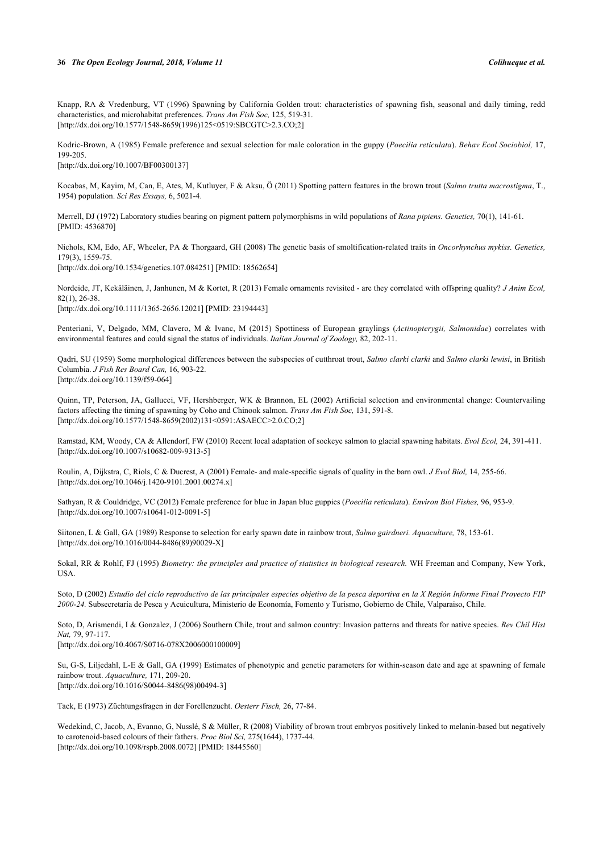#### **36** *The Open Ecology Journal, 2018, Volume 11 Colihueque et al.*

Knapp, RA & Vredenburg, VT (1996) Spawning by California Golden trout: characteristics of spawning fish, seasonal and daily timing, redd characteristics, and microhabitat preferences. *Trans Am Fish Soc,* 125, 519-31. [\[http://dx.doi.org/10.1577/1548-8659\(1996\)125<0519:SBCGTC>2.3.CO;2\]](http://dx.doi.org/10.1577/1548-8659(1996)125<0519:SBCGTC>2.3.CO;2)

<span id="page-11-1"></span>Kodric-Brown, A (1985) Female preference and sexual selection for male coloration in the guppy (*Poecilia reticulata*). *Behav Ecol Sociobiol,* 17, 199-205.

<span id="page-11-9"></span>[\[http://dx.doi.org/10.1007/BF00300137\]](http://dx.doi.org/10.1007/BF00300137)

Kocabas, M, Kayim, M, Can, E, Ates, M, Kutluyer, F & Aksu, Ö (2011) Spotting pattern features in the brown trout (*Salmo trutta macrostigma*, T., 1954) population. *Sci Res Essays,* 6, 5021-4.

Merrell, DJ (1972) Laboratory studies bearing on pigment pattern polymorphisms in wild populations of *Rana pipiens. Genetics,* 70(1), 141-61. [PMID: [4536870\]](http://www.ncbi.nlm.nih.gov/pubmed/4536870)

<span id="page-11-3"></span>Nichols, KM, Edo, AF, Wheeler, PA & Thorgaard, GH (2008) The genetic basis of smoltification-related traits in *Oncorhynchus mykiss. Genetics,* 179(3), 1559-75.

<span id="page-11-0"></span>[\[http://dx.doi.org/10.1534/genetics.107.084251](http://dx.doi.org/10.1534/genetics.107.084251)] [PMID: [18562654\]](http://www.ncbi.nlm.nih.gov/pubmed/18562654)

Nordeide, JT, Kekäläinen, J, Janhunen, M & Kortet, R (2013) Female ornaments revisited - are they correlated with offspring quality? *J Anim Ecol,* 82(1), 26-38. [\[http://dx.doi.org/10.1111/1365-2656.12021](http://dx.doi.org/10.1111/1365-2656.12021)] [PMID: [23194443](http://www.ncbi.nlm.nih.gov/pubmed/23194443)]

<span id="page-11-4"></span>Penteriani, V, Delgado, MM, Clavero, M & Ivanc, M (2015) Spottiness of European graylings (*Actinopterygii, Salmonidae*) correlates with environmental features and could signal the status of individuals. *Italian Journal of Zoology,* 82, 202-11.

Qadri, SU (1959) Some morphological differences between the subspecies of cutthroat trout, *Salmo clarki clarki* and *Salmo clarki lewisi*, in British Columbia. *J Fish Res Board Can,* 16, 903-22. [\[http://dx.doi.org/10.1139/f59-064](http://dx.doi.org/10.1139/f59-064)]

<span id="page-11-11"></span>Quinn, TP, Peterson, JA, Gallucci, VF, Hershberger, WK & Brannon, EL (2002) Artificial selection and environmental change: Countervailing factors affecting the timing of spawning by Coho and Chinook salmon. *Trans Am Fish Soc,* 131, 591-8. [\[http://dx.doi.org/10.1577/1548-8659\(2002\)131<0591:ASAECC>2.0.CO;2\]](http://dx.doi.org/10.1577/1548-8659(2002)131<0591:ASAECC>2.0.CO;2)

<span id="page-11-2"></span>Ramstad, KM, Woody, CA & Allendorf, FW (2010) Recent local adaptation of sockeye salmon to glacial spawning habitats. *Evol Ecol,* 24, 391-411. [\[http://dx.doi.org/10.1007/s10682-009-9313-5\]](http://dx.doi.org/10.1007/s10682-009-9313-5)

<span id="page-11-10"></span>Roulin, A, Dijkstra, C, Riols, C & Ducrest, A (2001) Female- and male-specific signals of quality in the barn owl. *J Evol Biol,* 14, 255-66. [\[http://dx.doi.org/10.1046/j.1420-9101.2001.00274.x\]](http://dx.doi.org/10.1046/j.1420-9101.2001.00274.x)

Sathyan, R & Couldridge, VC (2012) Female preference for blue in Japan blue guppies (*Poecilia reticulata*). *Environ Biol Fishes,* 96, 953-9. [\[http://dx.doi.org/10.1007/s10641-012-0091-5\]](http://dx.doi.org/10.1007/s10641-012-0091-5)

Siitonen, L & Gall, GA (1989) Response to selection for early spawn date in rainbow trout, *Salmo gairdneri. Aquaculture,* 78, 153-61. [\[http://dx.doi.org/10.1016/0044-8486\(89\)90029-X](http://dx.doi.org/10.1016/0044-8486(89)90029-X)]

<span id="page-11-7"></span>Sokal, RR & Rohlf, FJ (1995) *Biometry: the principles and practice of statistics in biological research.* WH Freeman and Company, New York, USA.

Soto, D (2002) *Estudio del ciclo reproductivo de las principales especies objetivo de la pesca deportiva en la X Región Informe Final Proyecto FIP 2000-24.* Subsecretaría de Pesca y Acuicultura, Ministerio de Economía, Fomento y Turismo, Gobierno de Chile, Valparaiso, Chile.

<span id="page-11-6"></span>Soto, D, Arismendi, I & Gonzalez, J (2006) Southern Chile, trout and salmon country: Invasion patterns and threats for native species. *Rev Chil Hist Nat,* 79, 97-117.

<span id="page-11-12"></span>[\[http://dx.doi.org/10.4067/S0716-078X2006000100009\]](http://dx.doi.org/10.4067/S0716-078X2006000100009)

Su, G-S, Liljedahl, L-E & Gall, GA (1999) Estimates of phenotypic and genetic parameters for within-season date and age at spawning of female rainbow trout. *Aquaculture,* 171, 209-20. [\[http://dx.doi.org/10.1016/S0044-8486\(98\)00494-3\]](http://dx.doi.org/10.1016/S0044-8486(98)00494-3)

<span id="page-11-5"></span>Tack, E (1973) Züchtungsfragen in der Forellenzucht. *Oesterr Fisch,* 26, 77-84.

<span id="page-11-8"></span>Wedekind, C, Jacob, A, Evanno, G, Nusslé, S & Müller, R (2008) Viability of brown trout embryos positively linked to melanin-based but negatively to carotenoid-based colours of their fathers. *Proc Biol Sci,* 275(1644), 1737-44. [\[http://dx.doi.org/10.1098/rspb.2008.0072\]](http://dx.doi.org/10.1098/rspb.2008.0072) [PMID: [18445560](http://www.ncbi.nlm.nih.gov/pubmed/18445560)]